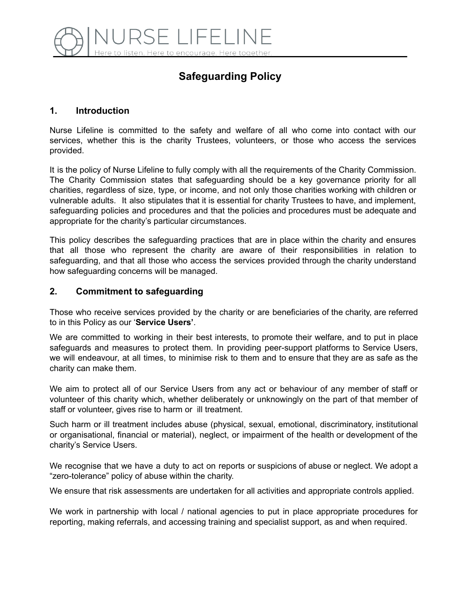

# **Safeguarding Policy**

#### **1. Introduction**

Nurse Lifeline is committed to the safety and welfare of all who come into contact with our services, whether this is the charity Trustees, volunteers, or those who access the services provided.

It is the policy of Nurse Lifeline to fully comply with all the requirements of the Charity Commission. The Charity Commission states that safeguarding should be a key governance priority for all charities, regardless of size, type, or income, and not only those charities working with children or vulnerable adults. It also stipulates that it is essential for charity Trustees to have, and implement, safeguarding policies and procedures and that the policies and procedures must be adequate and appropriate for the charity's particular circumstances.

This policy describes the safeguarding practices that are in place within the charity and ensures that all those who represent the charity are aware of their responsibilities in relation to safeguarding, and that all those who access the services provided through the charity understand how safeguarding concerns will be managed.

#### **2. Commitment to safeguarding**

Those who receive services provided by the charity or are beneficiaries of the charity, are referred to in this Policy as our '**Service Users'**.

We are committed to working in their best interests, to promote their welfare, and to put in place safeguards and measures to protect them. In providing peer-support platforms to Service Users, we will endeavour, at all times, to minimise risk to them and to ensure that they are as safe as the charity can make them.

We aim to protect all of our Service Users from any act or behaviour of any member of staff or volunteer of this charity which, whether deliberately or unknowingly on the part of that member of staff or volunteer, gives rise to harm or ill treatment.

Such harm or ill treatment includes abuse (physical, sexual, emotional, discriminatory, institutional or organisational, financial or material), neglect, or impairment of the health or development of the charity's Service Users.

We recognise that we have a duty to act on reports or suspicions of abuse or neglect. We adopt a "zero-tolerance" policy of abuse within the charity.

We ensure that risk assessments are undertaken for all activities and appropriate controls applied.

We work in partnership with local / national agencies to put in place appropriate procedures for reporting, making referrals, and accessing training and specialist support, as and when required.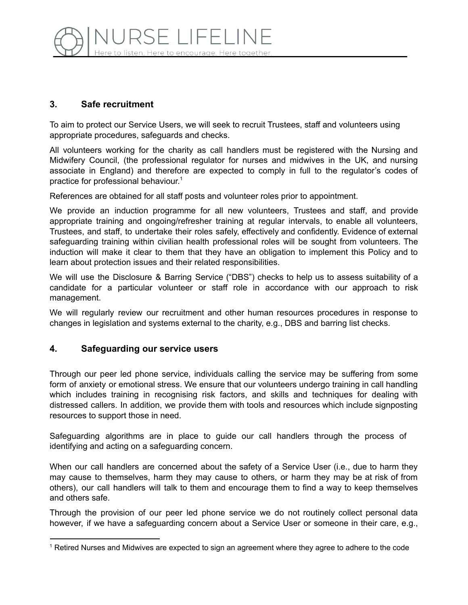# **3. Safe recruitment**

To aim to protect our Service Users, we will seek to recruit Trustees, staff and volunteers using appropriate procedures, safeguards and checks.

All volunteers working for the charity as call handlers must be registered with the Nursing and Midwifery Council, (the professional regulator for nurses and midwives in the UK, and nursing associate in England) and therefore are expected to comply in full to the regulator's codes of practice for professional behaviour. 1

References are obtained for all staff posts and volunteer roles prior to appointment.

We provide an induction programme for all new volunteers, Trustees and staff, and provide appropriate training and ongoing/refresher training at regular intervals, to enable all volunteers, Trustees, and staff, to undertake their roles safely, effectively and confidently. Evidence of external safeguarding training within civilian health professional roles will be sought from volunteers. The induction will make it clear to them that they have an obligation to implement this Policy and to learn about protection issues and their related responsibilities.

We will use the Disclosure & Barring Service ("DBS") checks to help us to assess suitability of a candidate for a particular volunteer or staff role in accordance with our approach to risk management.

We will regularly review our recruitment and other human resources procedures in response to changes in legislation and systems external to the charity, e.g., DBS and barring list checks.

# **4. Safeguarding our service users**

Through our peer led phone service, individuals calling the service may be suffering from some form of anxiety or emotional stress. We ensure that our volunteers undergo training in call handling which includes training in recognising risk factors, and skills and techniques for dealing with distressed callers. In addition, we provide them with tools and resources which include signposting resources to support those in need.

Safeguarding algorithms are in place to guide our call handlers through the process of identifying and acting on a safeguarding concern.

When our call handlers are concerned about the safety of a Service User (i.e., due to harm they may cause to themselves, harm they may cause to others, or harm they may be at risk of from others), our call handlers will talk to them and encourage them to find a way to keep themselves and others safe.

Through the provision of our peer led phone service we do not routinely collect personal data however, if we have a safeguarding concern about a Service User or someone in their care, e.g.,

<sup>&</sup>lt;sup>1</sup> Retired Nurses and Midwives are expected to sign an agreement where they agree to adhere to the code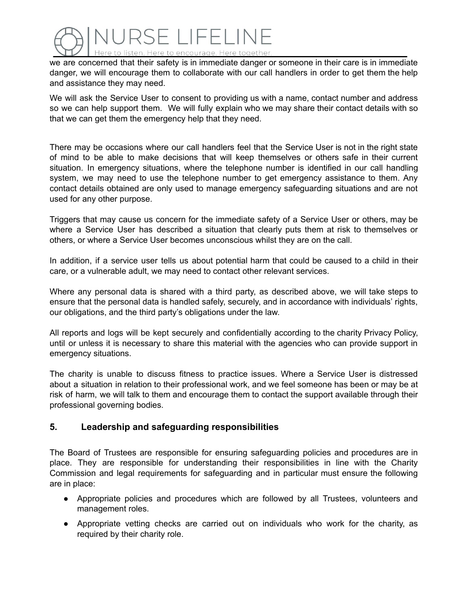

we are concerned that their safety is in immediate danger or someone in their care is in immediate danger, we will encourage them to collaborate with our call handlers in order to get them the help and assistance they may need.

We will ask the Service User to consent to providing us with a name, contact number and address so we can help support them. We will fully explain who we may share their contact details with so that we can get them the emergency help that they need.

There may be occasions where our call handlers feel that the Service User is not in the right state of mind to be able to make decisions that will keep themselves or others safe in their current situation. In emergency situations, where the telephone number is identified in our call handling system, we may need to use the telephone number to get emergency assistance to them. Any contact details obtained are only used to manage emergency safeguarding situations and are not used for any other purpose.

Triggers that may cause us concern for the immediate safety of a Service User or others, may be where a Service User has described a situation that clearly puts them at risk to themselves or others, or where a Service User becomes unconscious whilst they are on the call.

In addition, if a service user tells us about potential harm that could be caused to a child in their care, or a vulnerable adult, we may need to contact other relevant services.

Where any personal data is shared with a third party, as described above, we will take steps to ensure that the personal data is handled safely, securely, and in accordance with individuals' rights, our obligations, and the third party's obligations under the law.

All reports and logs will be kept securely and confidentially according to the charity Privacy Policy, until or unless it is necessary to share this material with the agencies who can provide support in emergency situations.

The charity is unable to discuss fitness to practice issues. Where a Service User is distressed about a situation in relation to their professional work, and we feel someone has been or may be at risk of harm, we will talk to them and encourage them to contact the support available through their professional governing bodies.

## **5. Leadership and safeguarding responsibilities**

The Board of Trustees are responsible for ensuring safeguarding policies and procedures are in place. They are responsible for understanding their responsibilities in line with the Charity Commission and legal requirements for safeguarding and in particular must ensure the following are in place:

- Appropriate policies and procedures which are followed by all Trustees, volunteers and management roles.
- Appropriate vetting checks are carried out on individuals who work for the charity, as required by their charity role.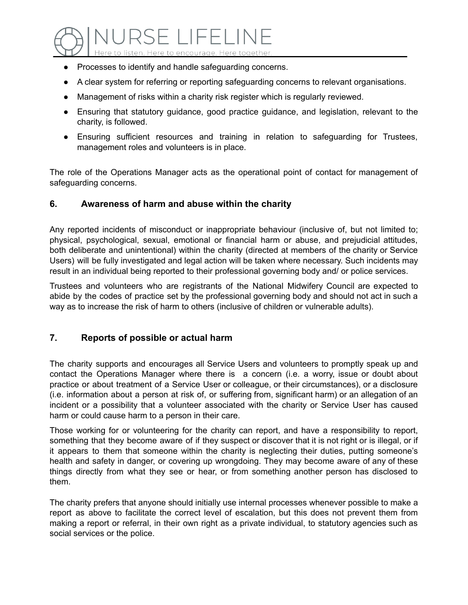

- Processes to identify and handle safeguarding concerns.
- A clear system for referring or reporting safeguarding concerns to relevant organisations.
- Management of risks within a charity risk register which is regularly reviewed.
- Ensuring that statutory guidance, good practice guidance, and legislation, relevant to the charity, is followed.
- Ensuring sufficient resources and training in relation to safeguarding for Trustees, management roles and volunteers is in place.

The role of the Operations Manager acts as the operational point of contact for management of safeguarding concerns.

#### **6. Awareness of harm and abuse within the charity**

Any reported incidents of misconduct or inappropriate behaviour (inclusive of, but not limited to; physical, psychological, sexual, emotional or financial harm or abuse, and prejudicial attitudes, both deliberate and unintentional) within the charity (directed at members of the charity or Service Users) will be fully investigated and legal action will be taken where necessary. Such incidents may result in an individual being reported to their professional governing body and/ or police services.

Trustees and volunteers who are registrants of the National Midwifery Council are expected to abide by the codes of practice set by the professional governing body and should not act in such a way as to increase the risk of harm to others (inclusive of children or vulnerable adults).

# **7. Reports of possible or actual harm**

The charity supports and encourages all Service Users and volunteers to promptly speak up and contact the Operations Manager where there is a concern (i.e. a worry, issue or doubt about practice or about treatment of a Service User or colleague, or their circumstances), or a disclosure (i.e. information about a person at risk of, or suffering from, significant harm) or an allegation of an incident or a possibility that a volunteer associated with the charity or Service User has caused harm or could cause harm to a person in their care.

Those working for or volunteering for the charity can report, and have a responsibility to report, something that they become aware of if they suspect or discover that it is not right or is illegal, or if it appears to them that someone within the charity is neglecting their duties, putting someone's health and safety in danger, or covering up wrongdoing. They may become aware of any of these things directly from what they see or hear, or from something another person has disclosed to them.

The charity prefers that anyone should initially use internal processes whenever possible to make a report as above to facilitate the correct level of escalation, but this does not prevent them from making a report or referral, in their own right as a private individual, to statutory agencies such as social services or the police.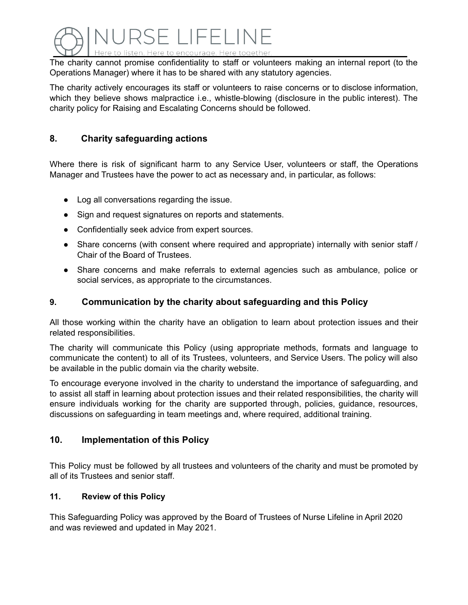

The charity cannot promise confidentiality to staff or volunteers making an internal report (to the Operations Manager) where it has to be shared with any statutory agencies.

The charity actively encourages its staff or volunteers to raise concerns or to disclose information, which they believe shows malpractice i.e., whistle-blowing (disclosure in the public interest). The charity policy for Raising and Escalating Concerns should be followed.

# **8. Charity safeguarding actions**

Where there is risk of significant harm to any Service User, volunteers or staff, the Operations Manager and Trustees have the power to act as necessary and, in particular, as follows:

- Log all conversations regarding the issue.
- Sign and request signatures on reports and statements.
- Confidentially seek advice from expert sources.
- Share concerns (with consent where required and appropriate) internally with senior staff / Chair of the Board of Trustees.
- Share concerns and make referrals to external agencies such as ambulance, police or social services, as appropriate to the circumstances.

#### **9. Communication by the charity about safeguarding and this Policy**

All those working within the charity have an obligation to learn about protection issues and their related responsibilities.

The charity will communicate this Policy (using appropriate methods, formats and language to communicate the content) to all of its Trustees, volunteers, and Service Users. The policy will also be available in the public domain via the charity website.

To encourage everyone involved in the charity to understand the importance of safeguarding, and to assist all staff in learning about protection issues and their related responsibilities, the charity will ensure individuals working for the charity are supported through, policies, guidance, resources, discussions on safeguarding in team meetings and, where required, additional training.

## **10. Implementation of this Policy**

This Policy must be followed by all trustees and volunteers of the charity and must be promoted by all of its Trustees and senior staff.

#### **11. Review of this Policy**

This Safeguarding Policy was approved by the Board of Trustees of Nurse Lifeline in April 2020 and was reviewed and updated in May 2021.